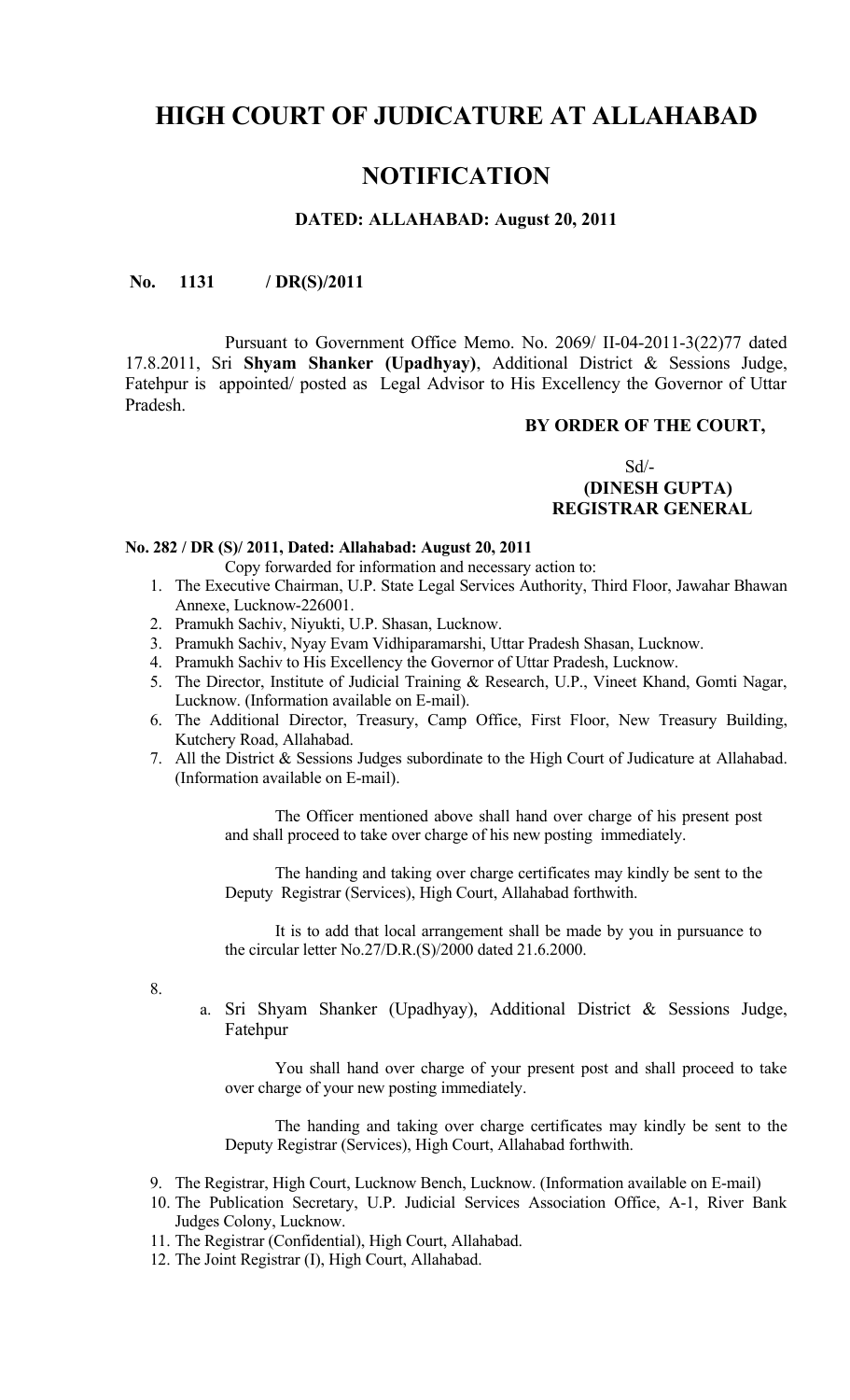# **HIGH COURT OF JUDICATURE AT ALLAHABAD**

# **NOTIFICATION**

#### **DATED: ALLAHABAD: August 20, 2011**

#### **No. 1131 / DR(S)/2011**

Pursuant to Government Office Memo. No. 2069/ II-04-2011-3(22)77 dated 17.8.2011, Sri **Shyam Shanker (Upadhyay)**, Additional District & Sessions Judge, Fatehpur is appointed/ posted as Legal Advisor to His Excellency the Governor of Uttar Pradesh.

#### **BY ORDER OF THE COURT,**

## $Sd$ <sup>-</sup>  **(DINESH GUPTA) REGISTRAR GENERAL**

#### **No. 282 / DR (S)/ 2011, Dated: Allahabad: August 20, 2011**

Copy forwarded for information and necessary action to:

- 1. The Executive Chairman, U.P. State Legal Services Authority, Third Floor, Jawahar Bhawan Annexe, Lucknow-226001.
- 2. Pramukh Sachiv, Niyukti, U.P. Shasan, Lucknow.
- 3. Pramukh Sachiv, Nyay Evam Vidhiparamarshi, Uttar Pradesh Shasan, Lucknow.
- 4. Pramukh Sachiv to His Excellency the Governor of Uttar Pradesh, Lucknow.
- 5. The Director, Institute of Judicial Training & Research, U.P., Vineet Khand, Gomti Nagar, Lucknow. (Information available on E-mail).
- 6. The Additional Director, Treasury, Camp Office, First Floor, New Treasury Building, Kutchery Road, Allahabad.
- 7. All the District & Sessions Judges subordinate to the High Court of Judicature at Allahabad. (Information available on E-mail).

The Officer mentioned above shall hand over charge of his present post and shall proceed to take over charge of his new posting immediately.

The handing and taking over charge certificates may kindly be sent to the Deputy Registrar (Services), High Court, Allahabad forthwith.

It is to add that local arrangement shall be made by you in pursuance to the circular letter No.27/D.R.(S)/2000 dated 21.6.2000.

8.

a. Sri Shyam Shanker (Upadhyay), Additional District & Sessions Judge, Fatehpur

You shall hand over charge of your present post and shall proceed to take over charge of your new posting immediately.

The handing and taking over charge certificates may kindly be sent to the Deputy Registrar (Services), High Court, Allahabad forthwith.

- 9. The Registrar, High Court, Lucknow Bench, Lucknow. (Information available on E-mail)
- 10. The Publication Secretary, U.P. Judicial Services Association Office, A-1, River Bank Judges Colony, Lucknow.
- 11. The Registrar (Confidential), High Court, Allahabad.
- 12. The Joint Registrar (I), High Court, Allahabad.